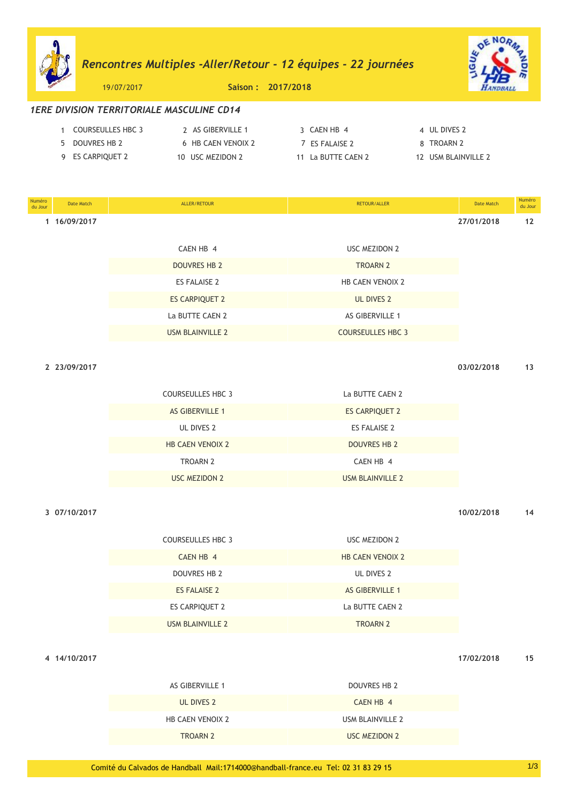# *Rencontres Multiples -Aller/Retour - 12 Èquipes - 22 journÈes*



19/07/2017 **Saison : 2017/2018**

## *1ERE DIVISION TERRITORIALE MASCULINE CD14*

| COURSEULLES HBC 3 | 2 AS GIBERVILLE 1  | 3 CAEN HB 4        | 4 UL DIVES 2        |
|-------------------|--------------------|--------------------|---------------------|
| DOUVRES HB 2      | 6 HB CAEN VENOIX 2 | 7 FS FAI AISE 2    | 8 TROARN 2          |
| 9 ES CARPIQUET 2  | 10 USC MEZIDON 2   | 11 La BUTTE CAEN 2 | 12 USM BLAINVILLE 2 |

| Numéro<br>du Jour | Date Match   | ALLER/RETOUR            | RETOUR/ALLER             | Date Match | Numéro<br>du Jour |
|-------------------|--------------|-------------------------|--------------------------|------------|-------------------|
|                   | 1 16/09/2017 |                         |                          | 27/01/2018 | 12                |
|                   |              | CAEN HB 4               | <b>USC MEZIDON 2</b>     |            |                   |
|                   |              |                         |                          |            |                   |
|                   |              | <b>DOUVRES HB 2</b>     | <b>TROARN 2</b>          |            |                   |
|                   |              | <b>ES FALAISE 2</b>     | <b>HB CAEN VENOIX 2</b>  |            |                   |
|                   |              | <b>ES CARPIQUET 2</b>   | <b>UL DIVES 2</b>        |            |                   |
|                   |              | La BUTTE CAEN 2         | AS GIBERVILLE 1          |            |                   |
|                   |              | <b>USM BLAINVILLE 2</b> | <b>COURSEULLES HBC 3</b> |            |                   |

**2 23/09/2017 03/02/2018 13**

| <b><i>LOIUTILU</i></b> |  |  |
|------------------------|--|--|
|                        |  |  |

| <b>COURSEULLES HBC 3</b> | La BUTTE CAEN 2       |
|--------------------------|-----------------------|
| <b>AS GIBERVILLE 1</b>   | <b>ES CARPIQUET 2</b> |
| UL DIVES 2               | ES FALAISE 2          |
| <b>HB CAEN VENOIX 2</b>  | <b>DOUVRES HB 2</b>   |
| <b>TROARN 2</b>          | CAEN HB 4             |
| USC MEZIDON 2            | USM BLAINVILLE 2      |

**3 07/10/2017 10/02/2018 14**

| <b>COURSEULLES HBC 3</b> | USC MEZIDON 2           |
|--------------------------|-------------------------|
| CAEN HB 4                | <b>HB CAEN VENOIX 2</b> |
| DOUVRES HB 2             | UL DIVES 2              |
| <b>ES FALAISE 2</b>      | <b>AS GIBERVILLE 1</b>  |
| ES CARPIQUET 2           | La BUTTE CAEN 2         |
| USM BLAINVILLE 2         | <b>TROARN 2</b>         |

**4 14/10/2017 17/02/2018 15**

| DOUVRES HB 2     |
|------------------|
| CAEN HB 4        |
| USM BLAINVILLE 2 |
| USC MEZIDON 2    |
|                  |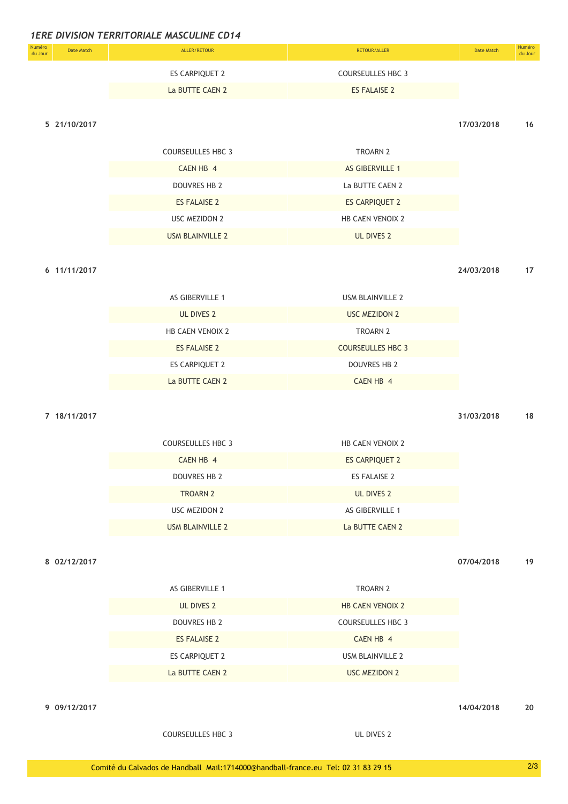| <b>Numéro</b><br>du Jour | Date Match | ALLER/RETOUR    | RETOUR/ALLER        | Date Match | Numéro<br>du Jour |
|--------------------------|------------|-----------------|---------------------|------------|-------------------|
|                          |            | ES CARPIQUET 2  | COURSEULLES HBC 3   |            |                   |
|                          |            | La BUTTE CAEN 2 | <b>ES FALAISE 2</b> |            |                   |

### **5 21/10/2017 17/03/2018 16**

| COURSEULLES HBC 3   | TROARN 2                |
|---------------------|-------------------------|
| CAEN HB 4           | <b>AS GIBERVILLE 1</b>  |
| DOUVRES HB 2        | La BUTTE CAEN 2         |
| <b>ES FALAISE 2</b> | <b>ES CARPIQUET 2</b>   |
| USC MEZIDON 2       | <b>HB CAEN VENOIX 2</b> |
| USM BLAINVILLE 2    | UL DIVES 2              |

**6 11/11/2017 24/03/2018 17**

| UL DIVES 2<br><b>USC MEZIDON 2</b><br><b>TROARN 2</b><br><b>HB CAEN VENOIX 2</b><br><b>COURSEULLES HBC 3</b><br>ES FALAISE 2<br>ES CARPIQUET 2<br>DOUVRES HB 2<br>La BUTTE CAEN 2<br>CAEN HB 4 | AS GIBERVILLE 1 | USM BLAINVILLE 2 |
|------------------------------------------------------------------------------------------------------------------------------------------------------------------------------------------------|-----------------|------------------|
|                                                                                                                                                                                                |                 |                  |
|                                                                                                                                                                                                |                 |                  |
|                                                                                                                                                                                                |                 |                  |
|                                                                                                                                                                                                |                 |                  |
|                                                                                                                                                                                                |                 |                  |

### **7 18/11/2017 31/03/2018 18**

| <b>COURSEULLES HBC 3</b> | <b>HB CAEN VENOIX 2</b> |
|--------------------------|-------------------------|
| CAEN HB 4                | <b>ES CARPIQUET 2</b>   |
| DOUVRES HB 2             | ES FALAISE 2            |
| <b>TROARN 2</b>          | UL DIVES 2              |
| USC MEZIDON 2            | AS GIBERVILLE 1         |
| USM BLAINVILLE 2         | La BUTTE CAEN 2         |

**8 02/12/2017 07/04/2018 19**

| AS GIBERVILLE 1     | <b>TROARN 2</b>          |
|---------------------|--------------------------|
| UL DIVES 2          | <b>HB CAEN VENOIX 2</b>  |
| DOUVRES HB 2        | <b>COURSEULLES HBC 3</b> |
| <b>ES FALAISE 2</b> | CAEN HB 4                |
| ES CARPIQUET 2      | USM BLAINVILLE 2         |
| La BUTTE CAEN 2     | <b>USC MEZIDON 2</b>     |

**9 09/12/2017 14/04/2018 20**

COURSEULLES HBC 3 UL DIVES 2